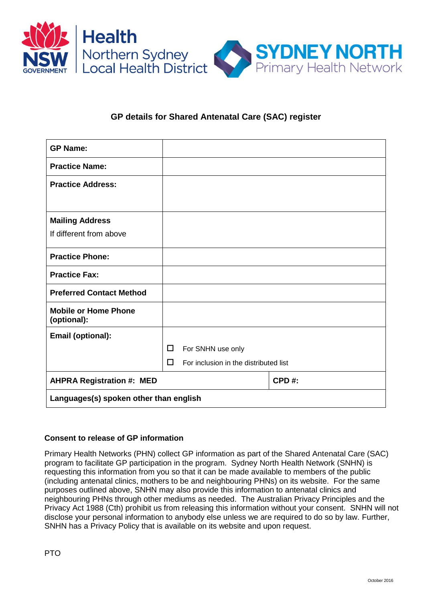

## **GP details for Shared Antenatal Care (SAC) register**

| <b>GP Name:</b>                            |                                            |              |  |
|--------------------------------------------|--------------------------------------------|--------------|--|
| <b>Practice Name:</b>                      |                                            |              |  |
| <b>Practice Address:</b>                   |                                            |              |  |
|                                            |                                            |              |  |
| <b>Mailing Address</b>                     |                                            |              |  |
| If different from above                    |                                            |              |  |
| <b>Practice Phone:</b>                     |                                            |              |  |
| <b>Practice Fax:</b>                       |                                            |              |  |
| <b>Preferred Contact Method</b>            |                                            |              |  |
| <b>Mobile or Home Phone</b><br>(optional): |                                            |              |  |
| Email (optional):                          |                                            |              |  |
|                                            | □<br>For SNHN use only                     |              |  |
|                                            | For inclusion in the distributed list<br>П |              |  |
| <b>AHPRA Registration #: MED</b>           |                                            | <b>CPD#:</b> |  |
| Languages(s) spoken other than english     |                                            |              |  |

## **Consent to release of GP information**

Primary Health Networks (PHN) collect GP information as part of the Shared Antenatal Care (SAC) program to facilitate GP participation in the program. Sydney North Health Network (SNHN) is requesting this information from you so that it can be made available to members of the public (including antenatal clinics, mothers to be and neighbouring PHNs) on its website. For the same purposes outlined above, SNHN may also provide this information to antenatal clinics and neighbouring PHNs through other mediums as needed. The Australian Privacy Principles and the Privacy Act 1988 (Cth) prohibit us from releasing this information without your consent. SNHN will not disclose your personal information to anybody else unless we are required to do so by law. Further, SNHN has a Privacy Policy that is available on its website and upon request.